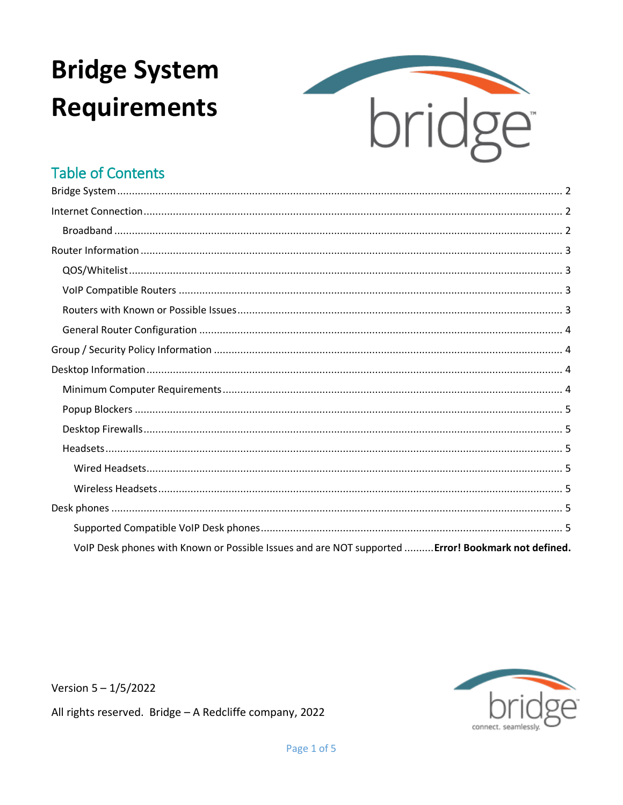# **Bridge System Requirements**



### **Table of Contents**

| VolP Desk phones with Known or Possible Issues and are NOT supported  Error! Bookmark not defined. |
|----------------------------------------------------------------------------------------------------|

Version  $5 - 1/5/2022$ 

All rights reserved. Bridge - A Redcliffe company, 2022

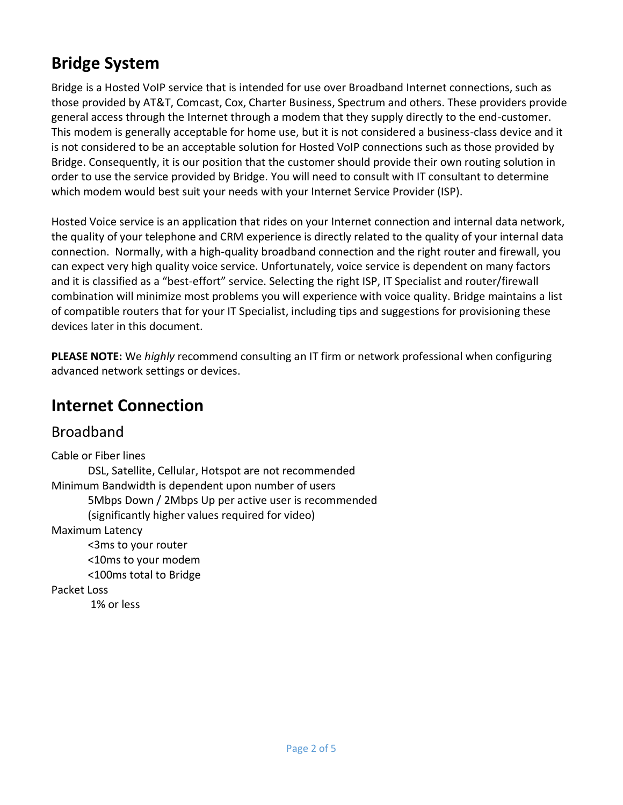# <span id="page-1-0"></span>**Bridge System**

Bridge is a Hosted VoIP service that is intended for use over Broadband Internet connections, such as those provided by AT&T, Comcast, Cox, Charter Business, Spectrum and others. These providers provide general access through the Internet through a modem that they supply directly to the end-customer. This modem is generally acceptable for home use, but it is not considered a business-class device and it is not considered to be an acceptable solution for Hosted VoIP connections such as those provided by Bridge. Consequently, it is our position that the customer should provide their own routing solution in order to use the service provided by Bridge. You will need to consult with IT consultant to determine which modem would best suit your needs with your Internet Service Provider (ISP).

Hosted Voice service is an application that rides on your Internet connection and internal data network, the quality of your telephone and CRM experience is directly related to the quality of your internal data connection. Normally, with a high-quality broadband connection and the right router and firewall, you can expect very high quality voice service. Unfortunately, voice service is dependent on many factors and it is classified as a "best-effort" service. Selecting the right ISP, IT Specialist and router/firewall combination will minimize most problems you will experience with voice quality. Bridge maintains a list of compatible routers that for your IT Specialist, including tips and suggestions for provisioning these devices later in this document.

**PLEASE NOTE:** We *highly* recommend consulting an IT firm or network professional when configuring advanced network settings or devices.

## <span id="page-1-1"></span>**Internet Connection**

### <span id="page-1-2"></span>Broadband

Cable or Fiber lines DSL, Satellite, Cellular, Hotspot are not recommended Minimum Bandwidth is dependent upon number of users 5Mbps Down / 2Mbps Up per active user is recommended (significantly higher values required for video) Maximum Latency <3ms to your router <10ms to your modem <100ms total to Bridge Packet Loss 1% or less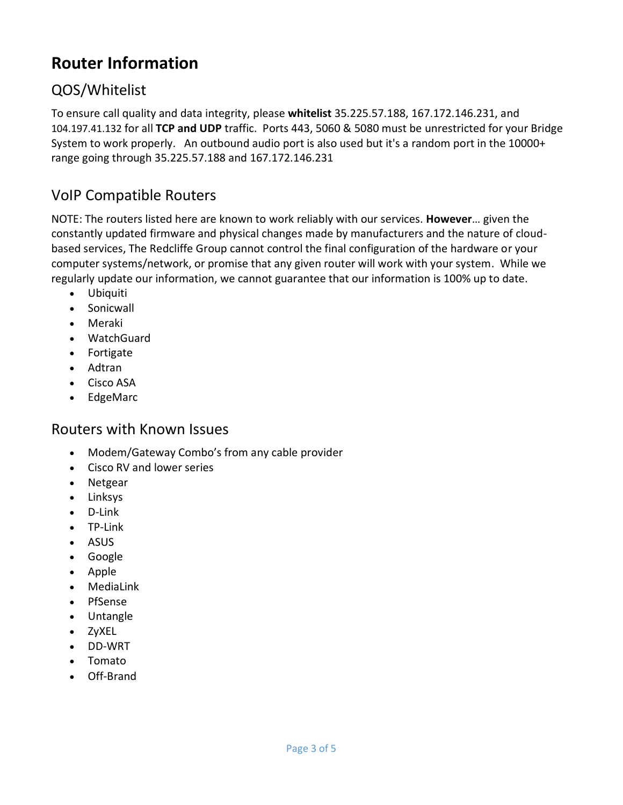# <span id="page-2-0"></span>**Router Information**

### <span id="page-2-1"></span>QOS/Whitelist

To ensure call quality and data integrity, please **whitelist** 35.225.57.188, 167.172.146.231, and 104.197.41.132 for all **TCP and UDP** traffic. Ports 443, 5060 & 5080 must be unrestricted for your Bridge System to work properly. An outbound audio port is also used but it's a random port in the 10000+ range going through 35.225.57.188 and 167.172.146.231

### <span id="page-2-2"></span>VoIP Compatible Routers

NOTE: The routers listed here are known to work reliably with our services. **However**… given the constantly updated firmware and physical changes made by manufacturers and the nature of cloudbased services, The Redcliffe Group cannot control the final configuration of the hardware or your computer systems/network, or promise that any given router will work with your system. While we regularly update our information, we cannot guarantee that our information is 100% up to date.

- Ubiquiti
- Sonicwall
- Meraki
- WatchGuard
- Fortigate
- Adtran
- Cisco ASA
- EdgeMarc

### <span id="page-2-3"></span>Routers with Known Issues

- Modem/Gateway Combo's from any cable provider
- Cisco RV and lower series
- Netgear
- Linksys
- D-Link
- TP-Link
- ASUS
- Google
- Apple
- MediaLink
- PfSense
- Untangle
- ZyXEL
- DD-WRT
- Tomato
- Off-Brand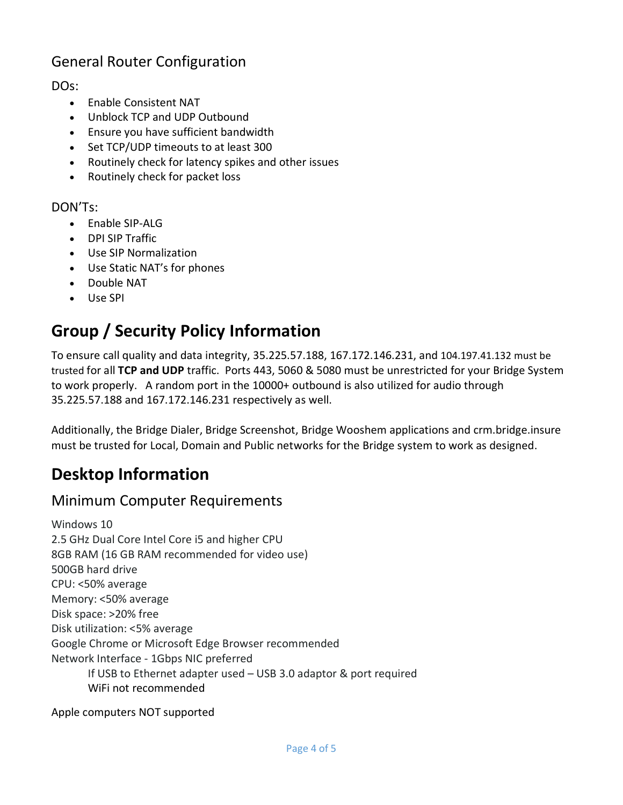### <span id="page-3-0"></span>General Router Configuration

#### DOs:

- Enable Consistent NAT
- Unblock TCP and UDP Outbound
- Ensure you have sufficient bandwidth
- Set TCP/UDP timeouts to at least 300
- Routinely check for latency spikes and other issues
- Routinely check for packet loss

#### DON'Ts:

- Enable SIP-ALG
- DPI SIP Traffic
- Use SIP Normalization
- Use Static NAT's for phones
- Double NAT
- Use SPI

# <span id="page-3-1"></span>**Group / Security Policy Information**

To ensure call quality and data integrity, 35.225.57.188, 167.172.146.231, and 104.197.41.132 must be trusted for all **TCP and UDP** traffic. Ports 443, 5060 & 5080 must be unrestricted for your Bridge System to work properly. A random port in the 10000+ outbound is also utilized for audio through 35.225.57.188 and 167.172.146.231 respectively as well.

Additionally, the Bridge Dialer, Bridge Screenshot, Bridge Wooshem applications and crm.bridge.insure must be trusted for Local, Domain and Public networks for the Bridge system to work as designed.

# <span id="page-3-2"></span>**Desktop Information**

### <span id="page-3-3"></span>Minimum Computer Requirements

Windows 10 2.5 GHz Dual Core Intel Core i5 and higher CPU 8GB RAM (16 GB RAM recommended for video use) 500GB hard drive CPU: <50% average Memory: <50% average Disk space: >20% free Disk utilization: <5% average Google Chrome or Microsoft Edge Browser recommended Network Interface - 1Gbps NIC preferred If USB to Ethernet adapter used – USB 3.0 adaptor & port required WiFi not recommended

Apple computers NOT supported